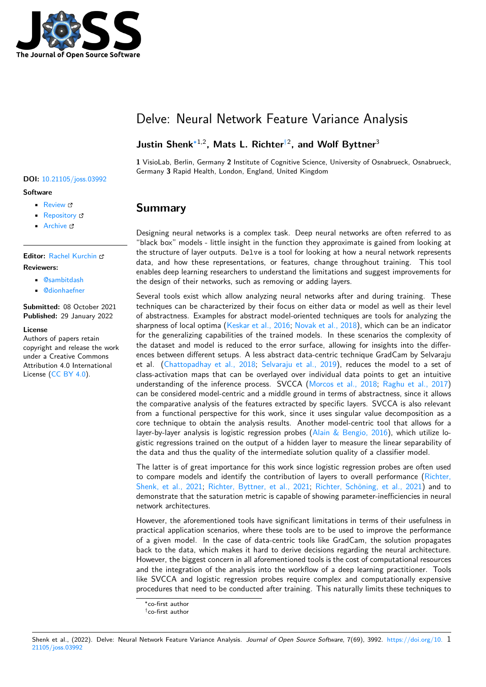

# Delve: Neural Network Feature Variance Analysis

### **Justin Shenk**∗1,2**, Mats L. Richter**†2 **, and Wolf Byttner**<sup>3</sup>

**1** VisioLab, Berlin, Germany **2** Institute of Cognitive Science, University of Osnabrueck, Osnabrueck, Germany **3** Rapid Health, London, England, United Kingdom

### **Summary**

Designing neural networks is a complex task. Deep neural networks are often referred to as "black box" models - little insight in the function they approximate is gained from looking at the structure of layer outputs. Delve is a tool for looking at how a neural network represents data, and how these representations, or features, change throughout training. This tool enables deep learning researchers to understand the limitations and suggest improvements for the design of their networks, such as removing or adding layers.

Several tools exist which allow analyzing neural networks after and during training. These techniques can be characterized by their focus on either data or model as well as their level of abstractness. Examples for abstract model-oriented techniques are tools for analyzing the sharpness of local optima (Keskar et al., 2016; Novak et al., 2018), which can be an indicator for the generalizing capabilities of the trained models. In these scenarios the complexity of the dataset and model is reduced to the error surface, allowing for insights into the differences between different setups. A less abstract data-centric technique GradCam by Selvaraju et al. (Chattopadhay et [al., 2018;](#page-3-0) Selvaraju [et al., 2019\), redu](#page-3-1)ces the model to a set of class-activation maps that can be overlayed over individual data points to get an intuitive understanding of the inference process. SVCCA (Morcos et al., 2018; Raghu et al., 2017) can be considered model-centric and a middle ground in terms of abstractness, since it allows the com[parative analysis of the feat](#page-3-2)[ures extracted by speci](#page-4-0)fic layers. SVCCA is also relevant from a functional perspective for this work, since it uses singular value decomposition as a core technique to obtain the analysis results. An[other model-centric](#page-3-3) t[ool that allows for a](#page-4-1) layer-by-layer analysis is logistic regression probes  $(A<sub>lin</sub> \& Bengio, 2016)$ , which utilize logistic regressions trained on the output of a hidden layer to measure the linear separability of the data and thus the quality of the intermediate solution quality of a classifier model.

The latter is of great importance for this work since logistic regression probes are often used to compare models and identify the contribution o[f layers to overall perf](#page-3-4)ormance (Richter, Shenk, et al., 2021; Richter, Byttner, et al., 2021; Richter, Schöning, et al., 2021) and to demonstrate that the saturation metric is capable of showing parameter-inefficiencies in neural network architectures.

However, the aforementioned tools have significant limitations in terms of their usef[ulness in](#page-4-2) [practical application](#page-4-2) [scenarios, where these tools ar](#page-4-3)e [to be used to improve the perf](#page-4-4)ormance of a given model. In the case of data-centric tools like GradCam, the solution propagates back to the data, which makes it hard to derive decisions regarding the neural architecture. However, the biggest concern in all aforementioned tools is the cost of computational resources and the integration of the analysis into the workflow of a deep learning practitioner. Tools like SVCCA and logistic regression probes require complex and computationally expensive procedures that need to be conducted after training. This naturally limits these techniques to

#### Shenk et al., (2022). Delve: Neural Network Feature Variance Analysis. *Journal of Open Source Software*, 7(69), 3992. https://doi.org/10. 121105/joss.03992

#### **DOI:** 10.21105/joss.03992

#### **Software**

- Review C
- [Repository](https://doi.org/10.21105/joss.03992) &
- Archive

#### **Editor:** [Rachel K](https://github.com/delve-team/delve)urchin

**Revie[wers:](https://doi.org/10.5281/zenodo.5865465)**

- @sambitdash
- @[dionhaefner](rkurchin.github.io)

**Submitted:** 08 October 2021 **Published:** [29 Janu](https://github.com/sambitdash)ary 2022

**License**

Autho[rs of papers re](https://github.com/dionhaefner)tain copyright and release the work under a Creative Commons Attribution 4.0 International License (CC BY 4.0).

<sup>∗</sup>co-first author

<sup>†</sup>co-first author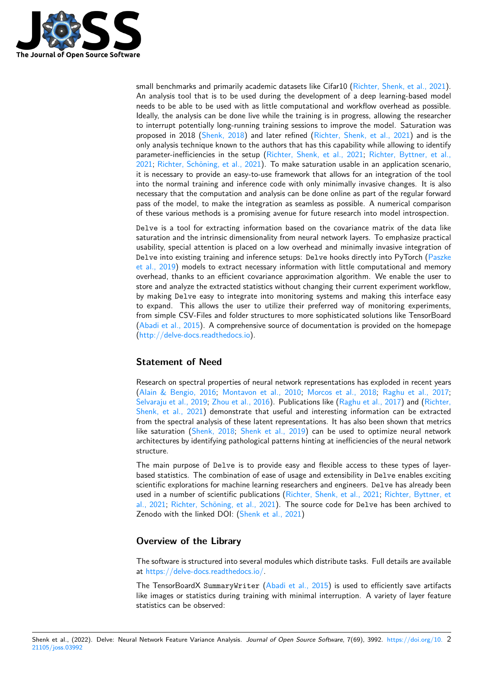

small benchmarks and primarily academic datasets like Cifar10 (Richter, Shenk, et al., 2021). An analysis tool that is to be used during the development of a deep learning-based model needs to be able to be used with as little computational and workflow overhead as possible. Ideally, the analysis can be done live while the training is in progress, allowing the researcher to interrupt potentially long-running training sessions to impro[ve the model. Saturation wa](#page-4-2)s proposed in 2018 (Shenk, 2018) and later refined (Richter, Shenk, et al., 2021) and is the only analysis technique known to the authors that has this capability while allowing to identify parameter-inefficiencies in the setup (Richter, Shenk, et al., 2021; Richter, Byttner, et al., 2021; Richter, Schöning, et al., 2021). To make saturation usable in an application scenario, it is necessary to p[rovide an eas](#page-4-5)y-to-use framework [that allows for an integration](#page-4-2) of the tool into the normal training and inference code with only minimally invasive changes. It is also necessary that the computation and a[nalysis can be done online as p](#page-4-2)[art of the regular forward](#page-4-3) [pass](#page-4-3) o[f the model, to make the integ](#page-4-4)ration as seamless as possible. A numerical comparison of these various methods is a promising avenue for future research into model introspection.

Delve is a tool for extracting information based on the covariance matrix of the data like saturation and the intrinsic dimensionality from neural network layers. To emphasize practical usability, special attention is placed on a low overhead and minimally invasive integration of Delve into existing training and inference setups: Delve hooks directly into PyTorch (Paszke et al., 2019) models to extract necessary information with little computational and memory overhead, thanks to an efficient covariance approximation algorithm. We enable the user to store and analyze the extracted statistics without changing their current experiment workflow, by making Delve easy to integrate into monitoring systems and making this interfa[ce easy](#page-3-5) [to expand.](#page-3-5) This allows the user to utilize their preferred way of monitoring experiments, from simple CSV-Files and folder structures to more sophisticated solutions like TensorBoard (Abadi et al., 2015). A comprehensive source of documentation is provided on the homepage (http://delve-docs.readthedocs.io).

### **[Statement of N](#page-3-6)eed**

[Research on spectral properties of](delve-docs.readthedocs.io) neural network representations has exploded in recent years (Alain & Bengio, 2016; Montavon et al., 2010; Morcos et al., 2018; Raghu et al., 2017; Selvaraju et al., 2019; Zhou et al., 2016). Publications like (Raghu et al., 2017) and (Richter, Shenk, et al., 2021) demonstrate that useful and interesting information can be extracted from the spectral analysis of these latent representations. It has also been shown that metrics l[ike saturation \(Shenk,](#page-3-4) 2018; [Shenk et al., 201](#page-3-7)9[\) can be used to op](#page-3-3)ti[mize neural network](#page-4-1) [architectures by ident](#page-4-0)i[fying pathological](#page-4-6) patterns hinting at i[nefficiencies of the](#page-4-1) neural [network](#page-4-2) [structure.](#page-4-2)

The main purpose of Delve is to provide easy and flexible access to these types of layerbased statistics. [The combina](#page-4-5)t[ion of ease of usage](#page-4-7) and extensibility in Delve enables exciting scientific explorations for machine learning researchers and engineers. Delve has already been used in a number of scientific publications (Richter, Shenk, et al., 2021; Richter, Byttner, et al., 2021; Richter, Schöning, et al., 2021). The source code for Delve has been archived to Zenodo with the linked DOI: (Shenk et al., 2021)

### **[Overvie](#page-4-3)[w of the Library](#page-4-4)**

The software is structured into [several modules wh](#page-4-8)ich distribute tasks. Full details are available at https://delve-docs.readthedocs.io/.

The TensorBoardX SummaryWriter (Abadi et al., 2015) is used to efficiently save artifacts like images or statistics during training with minimal interruption. A variety of layer feature st[atistics can be observed:](https://delve-docs.readthedocs.io/)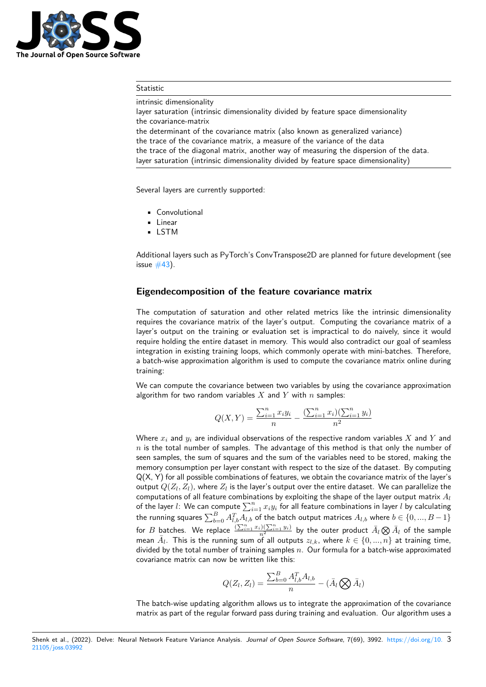

#### **Statistic**

intrinsic dimensionality

layer saturation (intrinsic dimensionality divided by feature space dimensionality the covariance-matrix the determinant of the covariance matrix (also known as generalized variance) the trace of the covariance matrix, a measure of the variance of the data the trace of the diagonal matrix, another way of measuring the dispersion of the data. layer saturation (intrinsic dimensionality divided by feature space dimensionality)

Several layers are currently supported:

- Convolutional
- Linear
- LSTM

Additional layers such as PyTorch's ConvTranspose2D are planned for future development (see issue  $#43$ ).

#### **Eigendecomposition of the feature covariance matrix**

The [comp](https://github.com/delve-team/delve/issues/43)utation of saturation and other related metrics like the intrinsic dimensionality requires the covariance matrix of the layer's output. Computing the covariance matrix of a layer's output on the training or evaluation set is impractical to do naively, since it would require holding the entire dataset in memory. This would also contradict our goal of seamless integration in existing training loops, which commonly operate with mini-batches. Therefore, a batch-wise approximation algorithm is used to compute the covariance matrix online during training:

We can compute the covariance between two variables by using the covariance approximation algorithm for two random variables *X* and *Y* with *n* samples:

$$
Q(X,Y) = \frac{\sum_{i=1}^{n} x_i y_i}{n} - \frac{(\sum_{i=1}^{n} x_i)(\sum_{i=1}^{n} y_i)}{n^2}
$$

Where *x<sup>i</sup>* and *y<sup>i</sup>* are individual observations of the respective random variables *X* and *Y* and *n* is the total number of samples. The advantage of this method is that only the number of seen samples, the sum of squares and the sum of the variables need to be stored, making the memory consumption per layer constant with respect to the size of the dataset. By computing Q(X, Y) for all possible combinations of features, we obtain the covariance matrix of the layer's output  $Q(Z_l, Z_l)$ , where  $Z_l$  is the layer's output over the entire dataset. We can parallelize the computations of all feature combinations by exploiting the shape of the layer output matrix *A<sup>l</sup>* of the layer  $l$ : We can compute  $\sum_{i=1}^n x_i y_i$  for all feature combinations in layer  $l$  by calculating the running squares  $\sum_{b=0}^BA^T_{l,b}A_{l,b}$  of the batch output matrices  $A_{l,b}$  where  $b\in\{0,...,B-1\}$ for  $B$  batches. We replace  $\frac{(\sum_{i=1}^nx_i)(\sum_{i=1}^ny_i)}{n^2}$  by the outer product  $\bar{A}_l\bigotimes \bar{A}_l$  of the sample  $\bar{A}_l$ . This is the running sum of all outputs  $z_{l,k}$ , where  $k \in \{0, ..., n\}$  at training time, divided by the total number of training samples *n*. Our formula for a batch-wise approximated covariance matrix can now be written like this:

$$
Q(Z_l, Z_l) = \frac{\sum_{b=0}^B A_{l,b}^T A_{l,b}}{n} - (\bar{A}_l \bigotimes \bar{A}_l)
$$

The batch-wise updating algorithm allows us to integrate the approximation of the covariance matrix as part of the regular forward pass during training and evaluation. Our algorithm uses a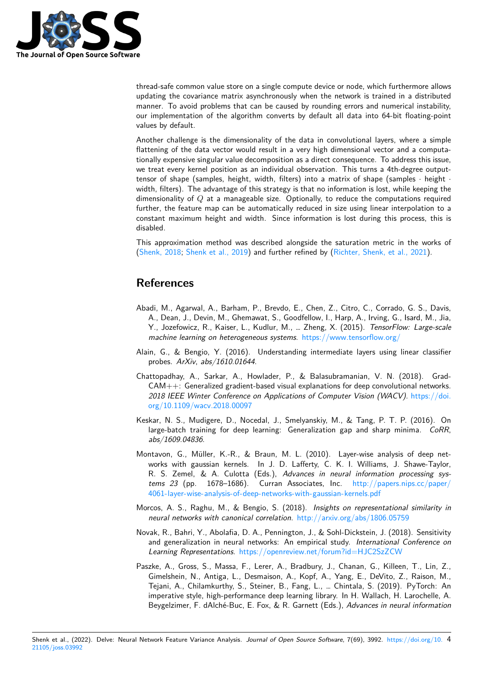

thread-safe common value store on a single compute device or node, which furthermore allows updating the covariance matrix asynchronously when the network is trained in a distributed manner. To avoid problems that can be caused by rounding errors and numerical instability, our implementation of the algorithm converts by default all data into 64-bit floating-point values by default.

Another challenge is the dimensionality of the data in convolutional layers, where a simple flattening of the data vector would result in a very high dimensional vector and a computationally expensive singular value decomposition as a direct consequence. To address this issue, we treat every kernel position as an individual observation. This turns a 4th-degree outputtensor of shape (samples, height, width, filters) into a matrix of shape (samples *·* height *·* width, filters). The advantage of this strategy is that no information is lost, while keeping the dimensionality of *Q* at a manageable size. Optionally, to reduce the computations required further, the feature map can be automatically reduced in size using linear interpolation to a constant maximum height and width. Since information is lost during this process, this is disabled.

This approximation method was described alongside the saturation metric in the works of (Shenk, 2018; Shenk et al., 2019) and further refined by (Richter, Shenk, et al., 2021).

## **[Referenc](#page-4-5)[es](#page-4-7)**

- Abadi, M., Agarwal, A., Barham, P., Brevdo, E., Chen, Z., Citro, C., Corrado, G. S., Davis, A., Dean, J., Devin, M., Ghemawat, S., Goodfellow, I., Harp, A., Irving, G., Isard, M., Jia, Y., Jozefowicz, R., Kaiser, L., Kudlur, M., … Zheng, X. (2015). *TensorFlow: Large-scale machine learning on heterogeneous systems*. https://www.tensorflow.org/
- <span id="page-3-6"></span>Alain, G., & Bengio, Y. (2016). Understanding intermediate layers using linear classifier probes. *ArXiv*, *abs/1610.01644*.
- Chattopadhay, A., Sarkar, A., Howlader, P., [& Balasubramanian, V. N. \(](https://www.tensorflow.org/)2018). Grad-CAM++: Generalized gradient-based visual explanations for deep convolutional networks. *2018 IEEE Winter Conference on Applications of Computer Vision (WACV)*. https://doi. org/10.1109/wacv.2018.00097
- <span id="page-3-4"></span><span id="page-3-2"></span>Keskar, N. S., Mudigere, D., Nocedal, J., Smelyanskiy, M., & Tang, P. T. P. (2016). On large-batch training for deep learning: Generalization gap and sharp minima. *[CoRR](https://doi.org/10.1109/wacv.2018.00097)*, *[abs/1609.04836](https://doi.org/10.1109/wacv.2018.00097)*.
- <span id="page-3-0"></span>Montavon, G., Müller, K.-R., & Braun, M. L. (2010). Layer-wise analysis of deep networks with gaussian kernels. In J. D. Lafferty, C. K. I. Williams, J. Shawe-Taylor, R. S. Zemel, & A. Culotta (Eds.), *Advances in neural information processing systems 23* (pp. 1678–1686). Curran Associates, Inc. http://papers.nips.cc/paper/ 4061-layer-wise-analysis-of-deep-networks-with-gaussian-kernels.pdf
- <span id="page-3-7"></span>Morcos, A. S., Raghu, M., & Bengio, S. (2018). *Insights on representational similarity in neural networks with canonical correlation*. http://arxiv.org[/abs/1806.05759](http://papers.nips.cc/paper/4061-layer-wise-analysis-of-deep-networks-with-gaussian-kernels.pdf)
- No[vak, R., Bahri, Y., Abolafia, D. A., Pennington, J., & Sohl-Dickstein, J](http://papers.nips.cc/paper/4061-layer-wise-analysis-of-deep-networks-with-gaussian-kernels.pdf). (2018). Sensitivity and generalization in neural networks: An empirical study. *International Conference on Learning Representations*. https://openrevi[ew.net/forum?id=HJC2SzZCW](http://arxiv.org/abs/1806.05759)
- <span id="page-3-5"></span><span id="page-3-3"></span><span id="page-3-1"></span>Paszke, A., Gross, S., Massa, F., Lerer, A., Bradbury, J., Chanan, G., Killeen, T., Lin, Z., Gimelshein, N., Antiga, L., Desmaison, A., Kopf, A., Yang, E., DeVito, Z., Raison, M., Tejani, A., Chilamkurthy, S., Steiner, B., Fang, L., … Chintala, S. (2019). PyTorch: An imperative style, high-perf[ormance deep learning library. In H. Wallach, H.](https://openreview.net/forum?id=HJC2SzZCW) Larochelle, A. Beygelzimer, F. dAlché-Buc, E. Fox, & R. Garnett (Eds.), *Advances in neural information*